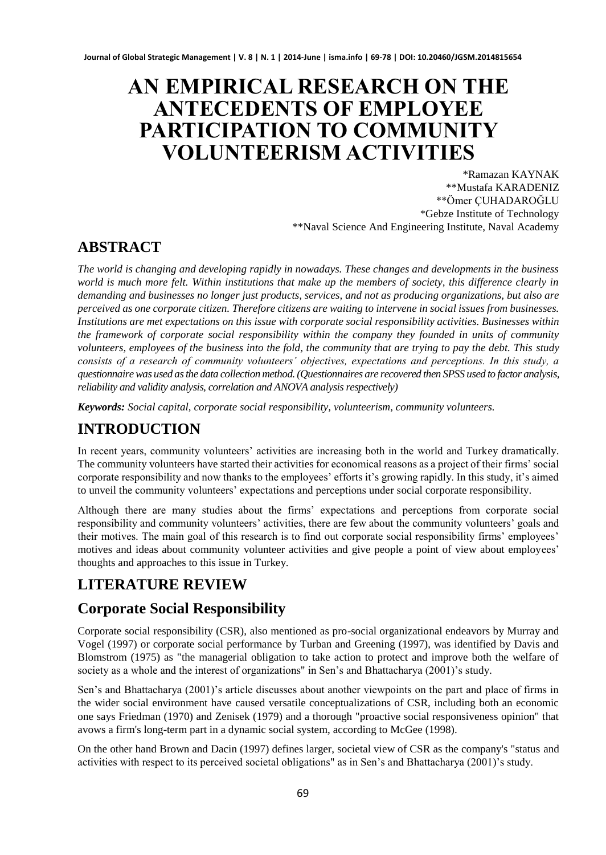# **AN EMPIRICAL RESEARCH ON THE ANTECEDENTS OF EMPLOYEE PARTICIPATION TO COMMUNITY VOLUNTEERISM ACTIVITIES**

\*Ramazan KAYNAK \*\*Mustafa KARADENIZ \*\*Ömer ÇUHADAROĞLU \*Gebze Institute of Technology \*\*Naval Science And Engineering Institute, Naval Academy

# **ABSTRACT**

*The world is changing and developing rapidly in nowadays. These changes and developments in the business world is much more felt. Within institutions that make up the members of society, this difference clearly in demanding and businesses no longer just products, services, and not as producing organizations, but also are perceived as one corporate citizen. Therefore citizens are waiting to intervene in social issues from businesses. Institutions are met expectations on this issue with corporate social responsibility activities. Businesses within the framework of corporate social responsibility within the company they founded in units of community volunteers, employees of the business into the fold, the community that are trying to pay the debt. This study consists of a research of community volunteers' objectives, expectations and perceptions. In this study, a questionnaire was used as the data collection method. (Questionnaires are recovered then SPSS used to factor analysis, reliability and validity analysis, correlation and ANOVA analysis respectively)* 

*Keywords: Social capital, corporate social responsibility, volunteerism, community volunteers.*

# **INTRODUCTION**

In recent years, community volunteers' activities are increasing both in the world and Turkey dramatically. The community volunteers have started their activities for economical reasons as a project of their firms' social corporate responsibility and now thanks to the employees' efforts it's growing rapidly. In this study, it's aimed to unveil the community volunteers' expectations and perceptions under social corporate responsibility.

Although there are many studies about the firms' expectations and perceptions from corporate social responsibility and community volunteers' activities, there are few about the community volunteers' goals and their motives. The main goal of this research is to find out corporate social responsibility firms' employees' motives and ideas about community volunteer activities and give people a point of view about employees' thoughts and approaches to this issue in Turkey.

## **LITERATURE REVIEW**

### **Corporate Social Responsibility**

Corporate social responsibility (CSR), also mentioned as pro-social organizational endeavors by Murray and Vogel (1997) or corporate social performance by Turban and Greening (1997), was identified by Davis and Blomstrom (1975) as "the managerial obligation to take action to protect and improve both the welfare of society as a whole and the interest of organizations" in Sen's and Bhattacharya (2001)'s study.

Sen's and Bhattacharya (2001)'s article discusses about another viewpoints on the part and place of firms in the wider social environment have caused versatile conceptualizations of CSR, including both an economic one says Friedman (1970) and Zenisek (1979) and a thorough "proactive social responsiveness opinion" that avows a firm's long-term part in a dynamic social system, according to McGee (1998).

On the other hand Brown and Dacin (1997) defines larger, societal view of CSR as the company's "status and activities with respect to its perceived societal obligations" as in Sen's and Bhattacharya (2001)'s study.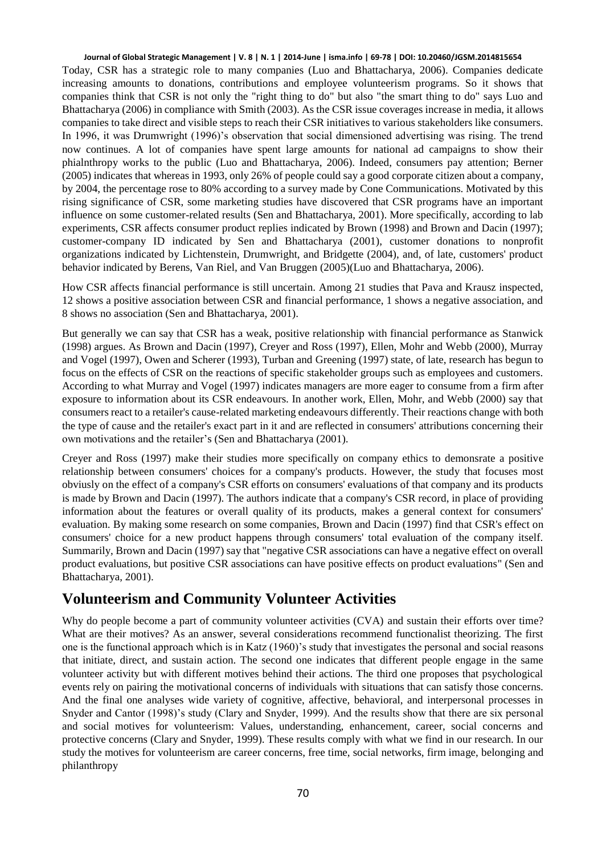#### **Journal of Global Strategic Management | V. 8 | N. 1 | 2014-June | isma.info | 69-78 | DOI: 10.20460/JGSM.2014815654**

Today, CSR has a strategic role to many companies (Luo and Bhattacharya, 2006). Companies dedicate increasing amounts to donations, contributions and employee volunteerism programs. So it shows that companies think that CSR is not only the "right thing to do" but also "the smart thing to do" says Luo and Bhattacharya (2006) in compliance with Smith (2003). As the CSR issue coverages increase in media, it allows companies to take direct and visible steps to reach their CSR initiatives to various stakeholders like consumers. In 1996, it was Drumwright (1996)'s observation that social dimensioned advertising was rising. The trend now continues. A lot of companies have spent large amounts for national ad campaigns to show their phialnthropy works to the public (Luo and Bhattacharya, 2006). Indeed, consumers pay attention; Berner (2005) indicates that whereas in 1993, only 26% of people could say a good corporate citizen about a company, by 2004, the percentage rose to 80% according to a survey made by Cone Communications. Motivated by this rising significance of CSR, some marketing studies have discovered that CSR programs have an important influence on some customer-related results (Sen and Bhattacharya, 2001). More specifically, according to lab experiments, CSR affects consumer product replies indicated by Brown (1998) and Brown and Dacin (1997); customer-company ID indicated by Sen and Bhattacharya (2001), customer donations to nonprofit organizations indicated by Lichtenstein, Drumwright, and Bridgette (2004), and, of late, customers' product behavior indicated by Berens, Van Riel, and Van Bruggen (2005)(Luo and Bhattacharya, 2006).

How CSR affects financial performance is still uncertain. Among 21 studies that Pava and Krausz inspected, 12 shows a positive association between CSR and financial performance, 1 shows a negative association, and 8 shows no association (Sen and Bhattacharya, 2001).

But generally we can say that CSR has a weak, positive relationship with financial performance as Stanwick (1998) argues. As Brown and Dacin (1997), Creyer and Ross (1997), Ellen, Mohr and Webb (2000), Murray and Vogel (1997), Owen and Scherer (1993), Turban and Greening (1997) state, of late, research has begun to focus on the effects of CSR on the reactions of specific stakeholder groups such as employees and customers. According to what Murray and Vogel (1997) indicates managers are more eager to consume from a firm after exposure to information about its CSR endeavours. In another work, Ellen, Mohr, and Webb (2000) say that consumers react to a retailer's cause-related marketing endeavours differently. Their reactions change with both the type of cause and the retailer's exact part in it and are reflected in consumers' attributions concerning their own motivations and the retailer's (Sen and Bhattacharya (2001).

Creyer and Ross (1997) make their studies more specifically on company ethics to demonsrate a positive relationship between consumers' choices for a company's products. However, the study that focuses most obviusly on the effect of a company's CSR efforts on consumers' evaluations of that company and its products is made by Brown and Dacin (1997). The authors indicate that a company's CSR record, in place of providing information about the features or overall quality of its products, makes a general context for consumers' evaluation. By making some research on some companies, Brown and Dacin (1997) find that CSR's effect on consumers' choice for a new product happens through consumers' total evaluation of the company itself. Summarily, Brown and Dacin (1997) say that "negative CSR associations can have a negative effect on overall product evaluations, but positive CSR associations can have positive effects on product evaluations" (Sen and Bhattacharya, 2001).

### **Volunteerism and Community Volunteer Activities**

Why do people become a part of community volunteer activities (CVA) and sustain their efforts over time? What are their motives? As an answer, several considerations recommend functionalist theorizing. The first one is the functional approach which is in Katz (1960)'s study that investigates the personal and social reasons that initiate, direct, and sustain action. The second one indicates that different people engage in the same volunteer activity but with different motives behind their actions. The third one proposes that psychological events rely on pairing the motivational concerns of individuals with situations that can satisfy those concerns. And the final one analyses wide variety of cognitive, affective, behavioral, and interpersonal processes in Snyder and Cantor (1998)'s study (Clary and Snyder, 1999). And the results show that there are six personal and social motives for volunteerism: Values, understanding, enhancement, career, social concerns and protective concerns (Clary and Snyder, 1999). These results comply with what we find in our research. In our study the motives for volunteerism are career concerns, free time, social networks, firm image, belonging and philanthropy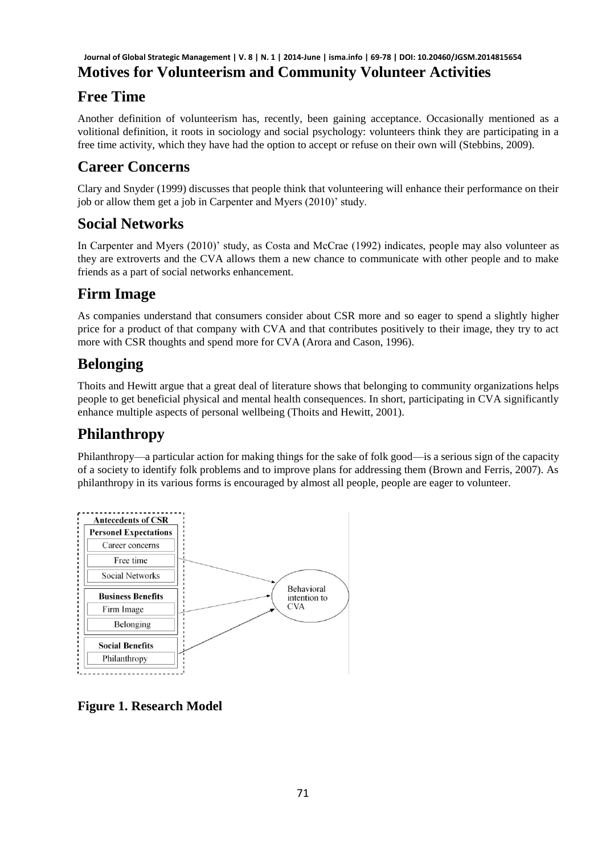### **Motives for Volunteerism and Community Volunteer Activities Journal of Global Strategic Management | V. 8 | N. 1 | 2014-June | isma.info | 69-78 | DOI: 10.20460/JGSM.2014815654**

# **Free Time**

Another definition of volunteerism has, recently, been gaining acceptance. Occasionally mentioned as a volitional definition, it roots in sociology and social psychology: volunteers think they are participating in a free time activity, which they have had the option to accept or refuse on their own will (Stebbins, 2009).

# **Career Concerns**

Clary and Snyder (1999) discusses that people think that volunteering will enhance their performance on their job or allow them get a job in Carpenter and Myers (2010)' study.

### **Social Networks**

In Carpenter and Myers (2010)' study, as Costa and McCrae (1992) indicates, people may also volunteer as they are extroverts and the CVA allows them a new chance to communicate with other people and to make friends as a part of social networks enhancement.

## **Firm Image**

As companies understand that consumers consider about CSR more and so eager to spend a slightly higher price for a product of that company with CVA and that contributes positively to their image, they try to act more with CSR thoughts and spend more for CVA (Arora and Cason, 1996).

## **Belonging**

Thoits and Hewitt argue that a great deal of literature shows that belonging to community organizations helps people to get beneficial physical and mental health consequences. In short, participating in CVA significantly enhance multiple aspects of personal wellbeing (Thoits and Hewitt, 2001).

### **Philanthropy**

Philanthropy—a particular action for making things for the sake of folk good—is a serious sign of the capacity of a society to identify folk problems and to improve plans for addressing them (Brown and Ferris, 2007). As philanthropy in its various forms is encouraged by almost all people, people are eager to volunteer.



**Figure 1. Research Model**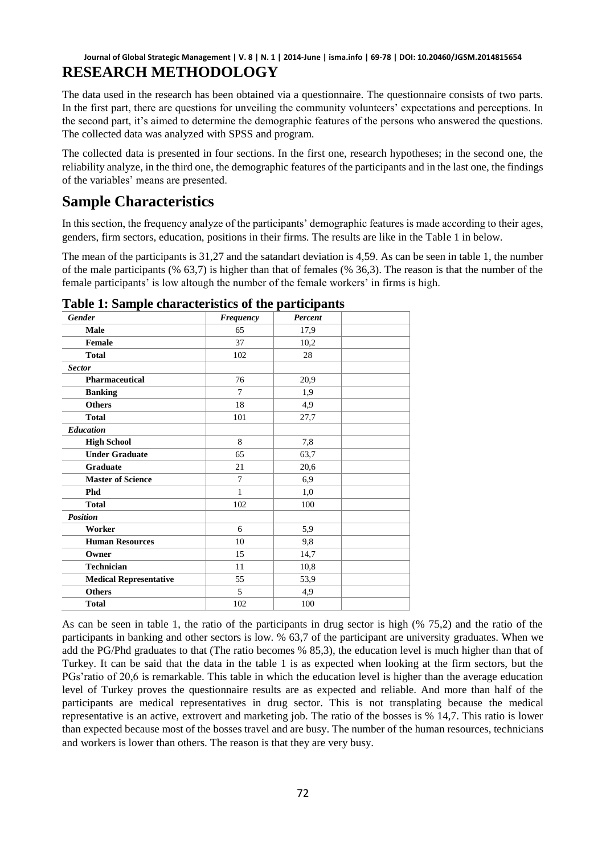#### **RESEARCH METHODOLOGY Journal of Global Strategic Management | V. 8 | N. 1 | 2014-June | isma.info | 69-78 | DOI: 10.20460/JGSM.2014815654**

The data used in the research has been obtained via a questionnaire. The questionnaire consists of two parts. In the first part, there are questions for unveiling the community volunteers' expectations and perceptions. In the second part, it's aimed to determine the demographic features of the persons who answered the questions. The collected data was analyzed with SPSS and program.

The collected data is presented in four sections. In the first one, research hypotheses; in the second one, the reliability analyze, in the third one, the demographic features of the participants and in the last one, the findings of the variables' means are presented.

### **Sample Characteristics**

In this section, the frequency analyze of the participants' demographic features is made according to their ages, genders, firm sectors, education, positions in their firms. The results are like in the Table 1 in below.

The mean of the participants is 31,27 and the satandart deviation is 4,59. As can be seen in table 1, the number of the male participants (% 63,7) is higher than that of females (% 36,3). The reason is that the number of the female participants' is low altough the number of the female workers' in firms is high.

| <b>Gender</b>                 | <b>Frequency</b> | Percent |  |
|-------------------------------|------------------|---------|--|
| Male                          | 65               | 17,9    |  |
| <b>Female</b>                 | 37               | 10,2    |  |
| <b>Total</b>                  | 102              | 28      |  |
| <b>Sector</b>                 |                  |         |  |
| Pharmaceutical                | 76               | 20,9    |  |
| <b>Banking</b>                | 7                | 1,9     |  |
| <b>Others</b>                 | 18               | 4,9     |  |
| <b>Total</b>                  | 101              | 27,7    |  |
| <b>Education</b>              |                  |         |  |
| <b>High School</b>            | 8                | 7,8     |  |
| <b>Under Graduate</b>         | 65               | 63,7    |  |
| Graduate                      | 21               | 20,6    |  |
| <b>Master of Science</b>      | 7                | 6,9     |  |
| <b>Phd</b>                    | $\mathbf{1}$     | 1,0     |  |
| <b>Total</b>                  | 102              | 100     |  |
| <b>Position</b>               |                  |         |  |
| Worker                        | 6                | 5,9     |  |
| <b>Human Resources</b>        | 10               | 9,8     |  |
| Owner                         | 15               | 14,7    |  |
| <b>Technician</b>             | 11               | 10,8    |  |
| <b>Medical Representative</b> | 55               | 53,9    |  |
| <b>Others</b>                 | 5                | 4,9     |  |
| <b>Total</b>                  | 102              | 100     |  |

**Table 1: Sample characteristics of the participants** 

As can be seen in table 1, the ratio of the participants in drug sector is high (% 75,2) and the ratio of the participants in banking and other sectors is low. % 63,7 of the participant are university graduates. When we add the PG/Phd graduates to that (The ratio becomes % 85,3), the education level is much higher than that of Turkey. It can be said that the data in the table 1 is as expected when looking at the firm sectors, but the PGs'ratio of 20,6 is remarkable. This table in which the education level is higher than the average education level of Turkey proves the questionnaire results are as expected and reliable. And more than half of the participants are medical representatives in drug sector. This is not transplating because the medical representative is an active, extrovert and marketing job. The ratio of the bosses is % 14,7. This ratio is lower than expected because most of the bosses travel and are busy. The number of the human resources, technicians and workers is lower than others. The reason is that they are very busy.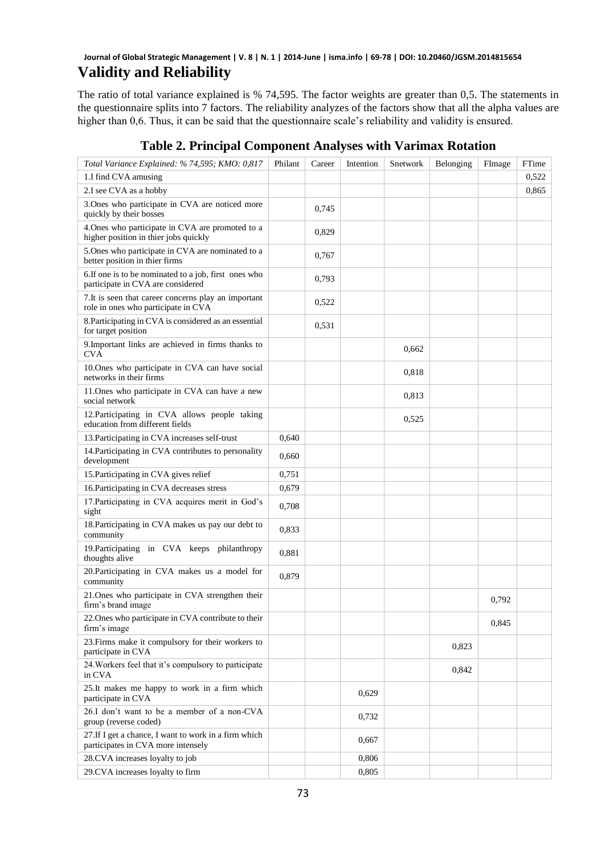#### **Validity and Reliability Journal of Global Strategic Management | V. 8 | N. 1 | 2014-June | isma.info | 69-78 | DOI: 10.20460/JGSM.2014815654**

The ratio of total variance explained is % 74,595. The factor weights are greater than 0,5. The statements in the questionnaire splits into 7 factors. The reliability analyzes of the factors show that all the alpha values are higher than 0,6. Thus, it can be said that the questionnaire scale's reliability and validity is ensured.

| Total Variance Explained: % 74,595; KMO: 0,817                                              | Philant | Career | Intention | Snetwork | Belonging | FImage | FTime |
|---------------------------------------------------------------------------------------------|---------|--------|-----------|----------|-----------|--------|-------|
| 1.I find CVA amusing                                                                        |         |        |           |          |           |        | 0,522 |
| 2.I see CVA as a hobby                                                                      |         |        |           |          |           |        | 0,865 |
| 3.Ones who participate in CVA are noticed more<br>quickly by their bosses                   |         | 0,745  |           |          |           |        |       |
| 4. Ones who participate in CVA are promoted to a<br>higher position in thier jobs quickly   |         | 0,829  |           |          |           |        |       |
| 5. Ones who participate in CVA are nominated to a<br>better position in thier firms         |         | 0,767  |           |          |           |        |       |
| 6. If one is to be nominated to a job, first ones who<br>participate in CVA are considered  |         | 0.793  |           |          |           |        |       |
| 7. It is seen that career concerns play an important<br>role in ones who participate in CVA |         | 0,522  |           |          |           |        |       |
| 8. Participating in CVA is considered as an essential<br>for target position                |         | 0.531  |           |          |           |        |       |
| 9. Important links are achieved in firms thanks to<br><b>CVA</b>                            |         |        |           | 0,662    |           |        |       |
| 10. Ones who participate in CVA can have social<br>networks in their firms                  |         |        |           | 0,818    |           |        |       |
| 11. Ones who participate in CVA can have a new<br>social network                            |         |        |           | 0,813    |           |        |       |
| 12. Participating in CVA allows people taking<br>education from different fields            |         |        |           | 0,525    |           |        |       |
| 13. Participating in CVA increases self-trust                                               | 0,640   |        |           |          |           |        |       |
| 14. Participating in CVA contributes to personality<br>development                          | 0,660   |        |           |          |           |        |       |
| 15. Participating in CVA gives relief                                                       | 0,751   |        |           |          |           |        |       |
| 16. Participating in CVA decreases stress                                                   | 0,679   |        |           |          |           |        |       |
| 17. Participating in CVA acquires merit in God's<br>sight                                   | 0,708   |        |           |          |           |        |       |
| 18. Participating in CVA makes us pay our debt to<br>community                              | 0,833   |        |           |          |           |        |       |
| 19. Participating in CVA keeps philanthropy<br>thoughts alive                               | 0.881   |        |           |          |           |        |       |
| 20. Participating in CVA makes us a model for<br>community                                  | 0,879   |        |           |          |           |        |       |
| 21. Ones who participate in CVA strengthen their<br>firm's brand image                      |         |        |           |          |           | 0,792  |       |
| 22. Ones who participate in CVA contribute to their<br>firm's image                         |         |        |           |          |           | 0,845  |       |
| 23. Firms make it compulsory for their workers to<br>participate in CVA                     |         |        |           |          | 0,823     |        |       |
| 24. Workers feel that it's compulsory to participate<br>in CVA                              |         |        |           |          | 0.842     |        |       |
| 25.It makes me happy to work in a firm which<br>participate in CVA                          |         |        | 0.629     |          |           |        |       |
| 26.I don't want to be a member of a non-CVA<br>group (reverse coded)                        |         |        | 0,732     |          |           |        |       |
| 27. If I get a chance, I want to work in a firm which<br>participates in CVA more intensely |         |        | 0,667     |          |           |        |       |
| 28.CVA increases loyalty to job                                                             |         |        | 0,806     |          |           |        |       |
| 29.CVA increases loyalty to firm                                                            |         |        | 0,805     |          |           |        |       |

### **Table 2. Principal Component Analyses with Varimax Rotation**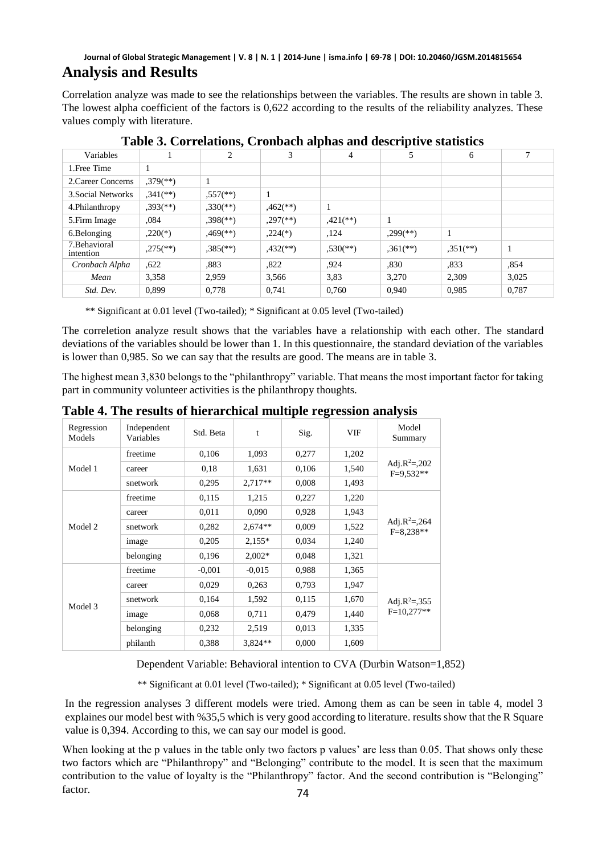#### **Analysis and Results Journal of Global Strategic Management | V. 8 | N. 1 | 2014-June | isma.info | 69-78 | DOI: 10.20460/JGSM.2014815654**

Correlation analyze was made to see the relationships between the variables. The results are shown in table 3. The lowest alpha coefficient of the factors is 0,622 according to the results of the reliability analyzes. These values comply with literature.

| Variables                  |                          | 2                        | 3                        | $\overline{4}$         |                          | 6           |              |
|----------------------------|--------------------------|--------------------------|--------------------------|------------------------|--------------------------|-------------|--------------|
| 1. Free Time               |                          |                          |                          |                        |                          |             |              |
| 2. Career Concerns         | $,379$ <sup>(**)</sup> ) |                          |                          |                        |                          |             |              |
| 3. Social Networks         | $,341$ (**)              | $.557$ <sup>(**)</sup> ) | $\mathbf{1}$             |                        |                          |             |              |
| 4.Philanthropy             | $,393$ <sup>(**)</sup> ) | $,330$ <sup>(**)</sup> ) | $,462$ <sup>**</sup> )   |                        |                          |             |              |
| 5. Firm Image              | .084                     | $,398$ <sup>(**)</sup> ) | $,297$ <sup>(**)</sup> ) | $,421$ (**)            |                          |             |              |
| 6.Belonging                | $,220(*)$                | $,469$ <sup>**</sup> )   | $,224$ <sup>(*)</sup> )  | ,124                   | $,299$ <sup>(**)</sup> ) |             |              |
| 7. Behavioral<br>intention | $,275$ <sup>(**)</sup> ) | $,385$ <sup>(**)</sup> ) | $,432$ <sup>**</sup> )   | $,530$ <sup>(**)</sup> | $,361$ <sup>(**)</sup> ) | $,351$ (**) | $\mathbf{I}$ |
| Cronbach Alpha             | .622                     | .883                     | ,822                     | .924                   | ,830                     | .833        | .854         |
| Mean                       | 3.358                    | 2.959                    | 3.566                    | 3,83                   | 3.270                    | 2.309       | 3.025        |
| Std. Dev.                  | 0.899                    | 0.778                    | 0.741                    | 0.760                  | 0.940                    | 0.985       | 0.787        |

**Table 3. Correlations, Cronbach alphas and descriptive statistics** 

\*\* Significant at 0.01 level (Two-tailed); \* Significant at 0.05 level (Two-tailed)

The correletion analyze result shows that the variables have a relationship with each other. The standard deviations of the variables should be lower than 1. In this questionnaire, the standard deviation of the variables is lower than 0,985. So we can say that the results are good. The means are in table 3.

The highest mean 3,830 belongs to the "philanthropy" variable. That means the most important factor for taking part in community volunteer activities is the philanthropy thoughts.

| Regression<br>Models | Independent<br>Variables | Std. Beta | t         | Sig.  | <b>VIF</b> | Model<br>Summary                          |
|----------------------|--------------------------|-----------|-----------|-------|------------|-------------------------------------------|
|                      | freetime                 | 0,106     | 1,093     | 0,277 | 1,202      |                                           |
| Model 1              | career                   | 0,18      | 1,631     | 0,106 | 1,540      | Adj.R <sup>2</sup> =,202<br>$F=9.532**$   |
|                      | snetwork                 | 0,295     | $2,717**$ | 0,008 | 1,493      |                                           |
|                      | freetime                 | 0,115     | 1,215     | 0,227 | 1,220      |                                           |
| Model 2              | career                   | 0,011     | 0,090     | 0,928 | 1,943      |                                           |
|                      | snetwork                 | 0,282     | $2.674**$ | 0,009 | 1,522      | Adj.R <sup>2</sup> =,264<br>$F = 8.238**$ |
|                      | image                    | 0,205     | $2,155*$  | 0,034 | 1,240      |                                           |
|                      | belonging                | 0,196     | $2,002*$  | 0,048 | 1,321      |                                           |
|                      | freetime                 | $-0.001$  | $-0.015$  | 0,988 | 1,365      |                                           |
| Model 3              | career                   | 0,029     | 0.263     | 0,793 | 1,947      |                                           |
|                      | snetwork                 | 0,164     | 1,592     | 0,115 | 1,670      | Adj.R <sup>2</sup> =,355                  |
|                      | image                    | 0,068     | 0,711     | 0,479 | 1,440      | $F=10.277**$                              |
|                      | belonging                | 0,232     | 2,519     | 0,013 | 1,335      |                                           |
|                      | philanth                 | 0,388     | $3.824**$ | 0,000 | 1,609      |                                           |

**Table 4. The results of hierarchical multiple regression analysis** 

Dependent Variable: Behavioral intention to CVA (Durbin Watson=1,852)

\*\* Significant at 0.01 level (Two-tailed); \* Significant at 0.05 level (Two-tailed)

In the regression analyses 3 different models were tried. Among them as can be seen in table 4, model 3 explaines our model best with %35,5 which is very good according to literature. results show that the R Square value is 0,394. According to this, we can say our model is good.

When looking at the p values in the table only two factors p values' are less than 0.05. That shows only these two factors which are "Philanthropy" and "Belonging" contribute to the model. It is seen that the maximum contribution to the value of loyalty is the "Philanthropy" factor. And the second contribution is "Belonging" factor.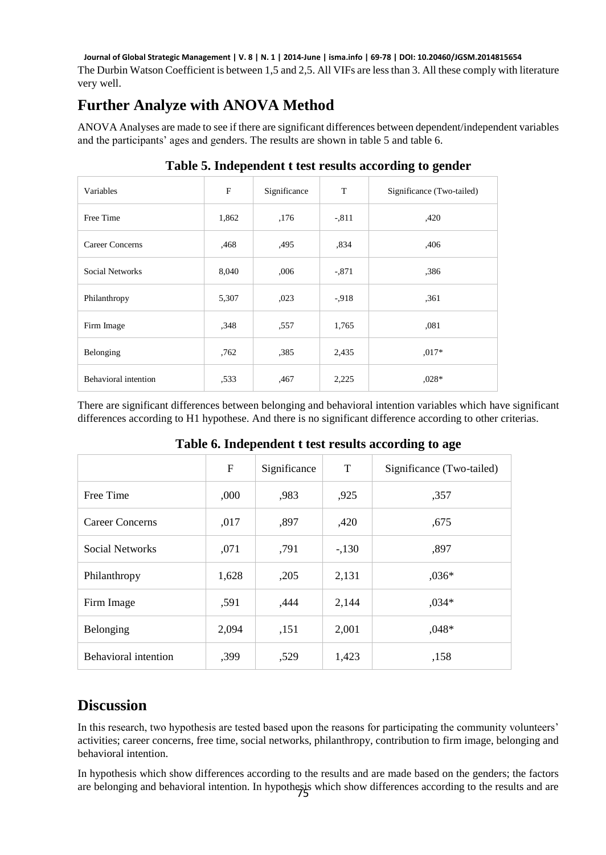The Durbin Watson Coefficient is between 1,5 and 2,5. All VIFs are less than 3. All these comply with literature very well. **Journal of Global Strategic Management | V. 8 | N. 1 | 2014-June | isma.info | 69-78 | DOI: 10.20460/JGSM.2014815654**

### **Further Analyze with ANOVA Method**

ANOVA Analyses are made to see if there are significant differences between dependent/independent variables and the participants' ages and genders. The results are shown in table 5 and table 6.

| Variables                   | $\mathbf{F}$ | Significance | T        | Significance (Two-tailed) |
|-----------------------------|--------------|--------------|----------|---------------------------|
| Free Time                   | 1,862        | ,176         | $-.811$  | ,420                      |
| Career Concerns             | ,468         | ,495         | ,834     | ,406                      |
| Social Networks             | 8,040        | .006         | $-.871$  | ,386                      |
| Philanthropy                | 5,307        | ,023         | $-0.918$ | ,361                      |
| Firm Image                  | ,348         | ,557         | 1,765    | ,081                      |
| Belonging                   | .762         | .385         | 2,435    | $0.017*$                  |
| <b>Behavioral</b> intention | ,533         | ,467         | 2,225    | $0.028*$                  |

#### **Table 5. Independent t test results according to gender**

There are significant differences between belonging and behavioral intention variables which have significant differences according to H1 hypothese. And there is no significant difference according to other criterias.

|                             | F     | Significance | T      | Significance (Two-tailed) |
|-----------------------------|-------|--------------|--------|---------------------------|
| Free Time                   | ,000  | ,983         | ,925   | ,357                      |
| Career Concerns             | ,017  | ,897         | ,420   | .675                      |
| <b>Social Networks</b>      | ,071  | ,791         | $-130$ | ,897                      |
| Philanthropy                | 1,628 | ,205         | 2,131  | $,036*$                   |
| Firm Image                  | ,591  | .444         | 2,144  | $,034*$                   |
| Belonging                   | 2.094 | ,151         | 2,001  | $,048*$                   |
| <b>Behavioral intention</b> | ,399  | ,529         | 1,423  | ,158                      |

#### **Table 6. Independent t test results according to age**

### **Discussion**

In this research, two hypothesis are tested based upon the reasons for participating the community volunteers' activities; career concerns, free time, social networks, philanthropy, contribution to firm image, belonging and behavioral intention.

In hypothesis which show differences according to the results and are made based on the genders; the factors are belonging and behavioral intention. In hypothesis which show differences according to the results and are  $\frac{75}{10}$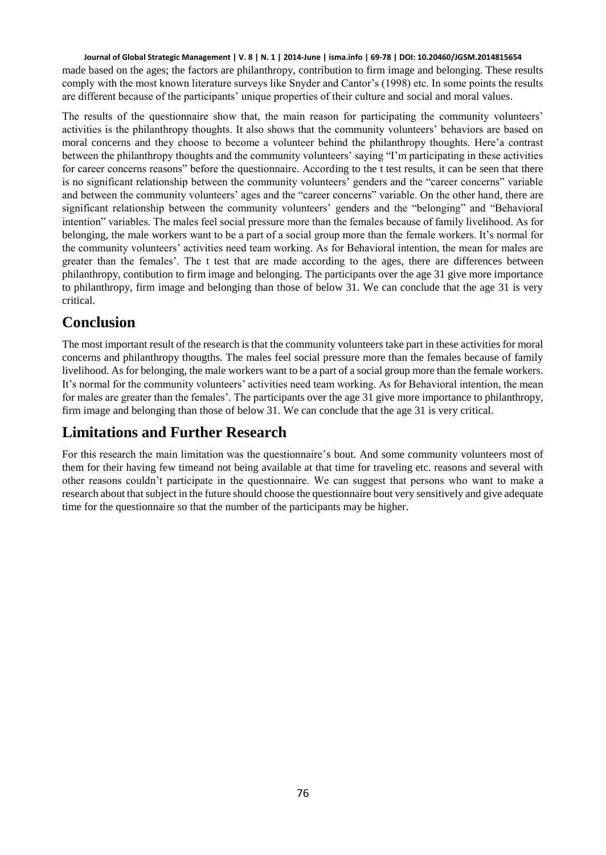made based on the ages; the factors are philanthropy, contribution to firm image and belonging. These results comply with the most known literature surveys like Snyder and Cantor's (1998) etc. In some points the results are different because of the participants' unique properties of their culture and social and moral values. **Journal of Global Strategic Management | V. 8 | N. 1 | 2014-June | isma.info | 69-78 | DOI: 10.20460/JGSM.2014815654**

The results of the questionnaire show that, the main reason for participating the community volunteers' activities is the philanthropy thoughts. It also shows that the community volunteers' behaviors are based on moral concerns and they choose to become a volunteer behind the philanthropy thoughts. Here'a contrast between the philanthropy thoughts and the community volunteers' saying "I'm participating in these activities for career concerns reasons" before the questionnaire. According to the t test results, it can be seen that there is no significant relationship between the community volunteers' genders and the "career concerns" variable and between the community volunteers' ages and the "career concerns" variable. On the other hand, there are significant relationship between the community volunteers' genders and the "belonging" and "Behavioral intention" variables. The males feel social pressure more than the females because of family livelihood. As for belonging, the male workers want to be a part of a social group more than the female workers. It's normal for the community volunteers' activities need team working. As for Behavioral intention, the mean for males are greater than the females'. The t test that are made according to the ages, there are differences between philanthropy, contibution to firm image and belonging. The participants over the age 31 give more importance to philanthropy, firm image and belonging than those of below 31. We can conclude that the age 31 is very critical.

### **Conclusion**

The most important result of the research is that the community volunteers take part in these activities for moral concerns and philanthropy thougths. The males feel social pressure more than the females because of family livelihood. As for belonging, the male workers want to be a part of a social group more than the female workers. It's normal for the community volunteers' activities need team working. As for Behavioral intention, the mean for males are greater than the females'. The participants over the age 31 give more importance to philanthropy, firm image and belonging than those of below 31. We can conclude that the age 31 is very critical.

## **Limitations and Further Research**

For this research the main limitation was the questionnaire's bout. And some community volunteers most of them for their having few timeand not being available at that time for traveling etc. reasons and several with other reasons couldn't participate in the questionnaire. We can suggest that persons who want to make a research about that subject in the future should choose the questionnaire bout very sensitively and give adequate time for the questionnaire so that the number of the participants may be higher.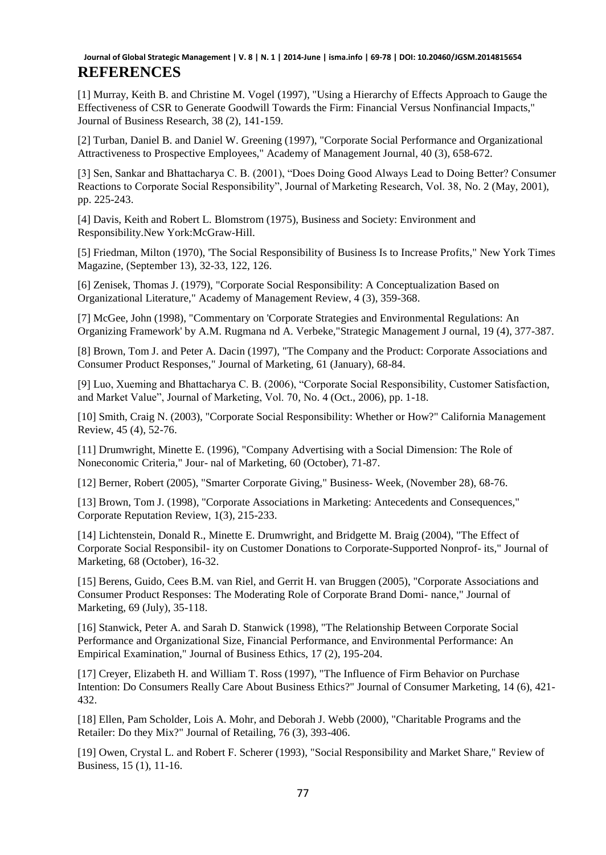#### **REFERENCES Journal of Global Strategic Management | V. 8 | N. 1 | 2014-June | isma.info | 69-78 | DOI: 10.20460/JGSM.2014815654**

[1] Murray, Keith B. and Christine M. Vogel (1997), "Using a Hierarchy of Effects Approach to Gauge the Effectiveness of CSR to Generate Goodwill Towards the Firm: Financial Versus Nonfinancial Impacts," Journal of Business Research, 38 (2), 141-159.

[2] Turban, Daniel B. and Daniel W. Greening (1997), "Corporate Social Performance and Organizational Attractiveness to Prospective Employees," Academy of Management Journal, 40 (3), 658-672.

[3] Sen, Sankar and Bhattacharya C. B. (2001), "Does Doing Good Always Lead to Doing Better? Consumer Reactions to Corporate Social Responsibility", Journal of Marketing Research, Vol. 38, No. 2 (May, 2001), pp. 225-243.

[4] Davis, Keith and Robert L. Blomstrom (1975), Business and Society: Environment and Responsibility.New York:McGraw-Hill.

[5] Friedman, Milton (1970), 'The Social Responsibility of Business Is to Increase Profits," New York Times Magazine, (September 13), 32-33, 122, 126.

[6] Zenisek, Thomas J. (1979), "Corporate Social Responsibility: A Conceptualization Based on Organizational Literature," Academy of Management Review, 4 (3), 359-368.

[7] McGee, John (1998), "Commentary on 'Corporate Strategies and Environmental Regulations: An Organizing Framework' by A.M. Rugmana nd A. Verbeke,"Strategic Management J ournal, 19 (4), 377-387.

[8] Brown, Tom J. and Peter A. Dacin (1997), "The Company and the Product: Corporate Associations and Consumer Product Responses," Journal of Marketing, 61 (January), 68-84.

[9] Luo, Xueming and Bhattacharya C. B. (2006), "Corporate Social Responsibility, Customer Satisfaction, and Market Value", Journal of Marketing, Vol. 70, No. 4 (Oct., 2006), pp. 1-18.

[10] Smith, Craig N. (2003), "Corporate Social Responsibility: Whether or How?" California Management Review, 45 (4), 52-76.

[11] Drumwright, Minette E. (1996), "Company Advertising with a Social Dimension: The Role of Noneconomic Criteria," Jour- nal of Marketing, 60 (October), 71-87.

[12] Berner, Robert (2005), "Smarter Corporate Giving," Business- Week, (November 28), 68-76.

[13] Brown, Tom J. (1998), "Corporate Associations in Marketing: Antecedents and Consequences," Corporate Reputation Review, 1(3), 215-233.

[14] Lichtenstein, Donald R., Minette E. Drumwright, and Bridgette M. Braig (2004), "The Effect of Corporate Social Responsibil- ity on Customer Donations to Corporate-Supported Nonprof- its," Journal of Marketing, 68 (October), 16-32.

[15] Berens, Guido, Cees B.M. van Riel, and Gerrit H. van Bruggen (2005), "Corporate Associations and Consumer Product Responses: The Moderating Role of Corporate Brand Domi- nance," Journal of Marketing, 69 (July), 35-118.

[16] Stanwick, Peter A. and Sarah D. Stanwick (1998), "The Relationship Between Corporate Social Performance and Organizational Size, Financial Performance, and Environmental Performance: An Empirical Examination," Journal of Business Ethics, 17 (2), 195-204.

[17] Creyer, Elizabeth H. and William T. Ross (1997), "The Influence of Firm Behavior on Purchase Intention: Do Consumers Really Care About Business Ethics?" Journal of Consumer Marketing, 14 (6), 421- 432.

[18] Ellen, Pam Scholder, Lois A. Mohr, and Deborah J. Webb (2000), "Charitable Programs and the Retailer: Do they Mix?" Journal of Retailing, 76 (3), 393-406.

[19] Owen, Crystal L. and Robert F. Scherer (1993), "Social Responsibility and Market Share," Review of Business, 15 (1), 11-16.